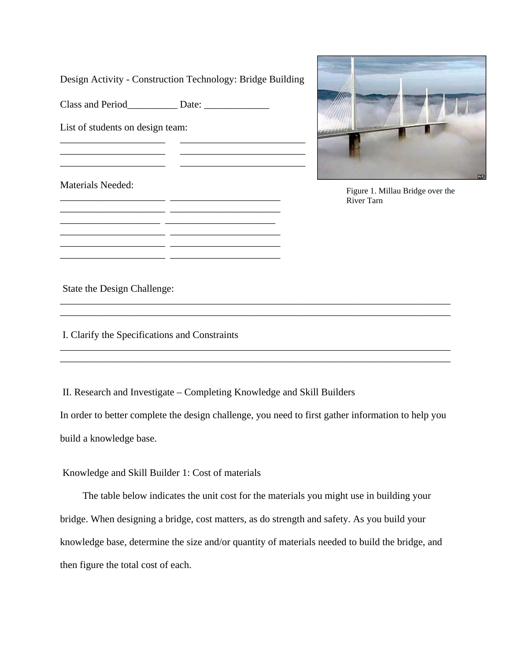| Design Activity - Construction Technology: Bridge Building |  |  |
|------------------------------------------------------------|--|--|
|                                                            |  |  |
| List of students on design team:                           |  |  |
|                                                            |  |  |
| Materials Needed:                                          |  |  |
|                                                            |  |  |
|                                                            |  |  |



Figure 1. Millau Bridge over the River Tarn

State the Design Challenge:

I. Clarify the Specifications and Constraints

II. Research and Investigate – Completing Knowledge and Skill Builders

In order to better complete the design challenge, you need to first gather information to help you build a knowledge base.

\_\_\_\_\_\_\_\_\_\_\_\_\_\_\_\_\_\_\_\_\_\_\_\_\_\_\_\_\_\_\_\_\_\_\_\_\_\_\_\_\_\_\_\_\_\_\_\_\_\_\_\_\_\_\_\_\_\_\_\_\_\_\_\_\_\_\_\_\_\_\_\_\_\_\_\_\_\_ \_\_\_\_\_\_\_\_\_\_\_\_\_\_\_\_\_\_\_\_\_\_\_\_\_\_\_\_\_\_\_\_\_\_\_\_\_\_\_\_\_\_\_\_\_\_\_\_\_\_\_\_\_\_\_\_\_\_\_\_\_\_\_\_\_\_\_\_\_\_\_\_\_\_\_\_\_\_

\_\_\_\_\_\_\_\_\_\_\_\_\_\_\_\_\_\_\_\_\_\_\_\_\_\_\_\_\_\_\_\_\_\_\_\_\_\_\_\_\_\_\_\_\_\_\_\_\_\_\_\_\_\_\_\_\_\_\_\_\_\_\_\_\_\_\_\_\_\_\_\_\_\_\_\_\_\_ \_\_\_\_\_\_\_\_\_\_\_\_\_\_\_\_\_\_\_\_\_\_\_\_\_\_\_\_\_\_\_\_\_\_\_\_\_\_\_\_\_\_\_\_\_\_\_\_\_\_\_\_\_\_\_\_\_\_\_\_\_\_\_\_\_\_\_\_\_\_\_\_\_\_\_\_\_\_

Knowledge and Skill Builder 1: Cost of materials

The table below indicates the unit cost for the materials you might use in building your bridge. When designing a bridge, cost matters, as do strength and safety. As you build your knowledge base, determine the size and/or quantity of materials needed to build the bridge, and then figure the total cost of each.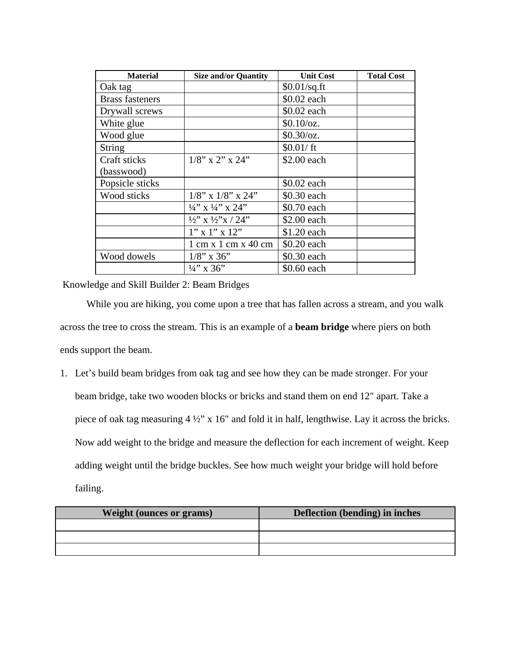| <b>Material</b>        | <b>Size and/or Quantity</b>                             | <b>Unit Cost</b> | <b>Total Cost</b> |
|------------------------|---------------------------------------------------------|------------------|-------------------|
| Oak tag                |                                                         | $$0.01$ /sq.ft   |                   |
| <b>Brass fasteners</b> |                                                         | \$0.02 each      |                   |
| Drywall screws         |                                                         | \$0.02 each      |                   |
| White glue             |                                                         | $$0.10$ /oz.     |                   |
| Wood glue              |                                                         | $$0.30$ /oz.     |                   |
| <b>String</b>          |                                                         | \$0.01/ft        |                   |
| Craft sticks           | $1/8$ " x 2" x 24"                                      | \$2.00 each      |                   |
| (basswood)             |                                                         |                  |                   |
| Popsicle sticks        |                                                         | \$0.02 each      |                   |
| Wood sticks            | $1/8$ " x $1/8$ " x $24$ "                              | \$0.30 each      |                   |
|                        | $\frac{1}{4}$ , x $\frac{1}{4}$ , x 24,                 | \$0.70 each      |                   |
|                        | $\frac{1}{2}$ " x $\frac{1}{2}$ " x / 24"               | \$2.00 each      |                   |
|                        | $1''$ x $1''$ x $12''$                                  | \$1.20 each      |                   |
|                        | $1 \text{ cm} \times 1 \text{ cm} \times 40 \text{ cm}$ | \$0.20 each      |                   |
| Wood dowels            | $1/8$ " x 36"                                           | \$0.30 each      |                   |
|                        | $\frac{1}{4}$ " x 36"                                   | \$0.60 each      |                   |

Knowledge and Skill Builder 2: Beam Bridges

While you are hiking, you come upon a tree that has fallen across a stream, and you walk across the tree to cross the stream. This is an example of a **beam bridge** where piers on both ends support the beam.

1. Let's build beam bridges from oak tag and see how they can be made stronger. For your beam bridge, take two wooden blocks or bricks and stand them on end 12" apart. Take a piece of oak tag measuring 4 ½" x 16" and fold it in half, lengthwise. Lay it across the bricks. Now add weight to the bridge and measure the deflection for each increment of weight. Keep adding weight until the bridge buckles. See how much weight your bridge will hold before failing.

| <b>Weight (ounces or grams)</b> | <b>Deflection (bending) in inches</b> |
|---------------------------------|---------------------------------------|
|                                 |                                       |
|                                 |                                       |
|                                 |                                       |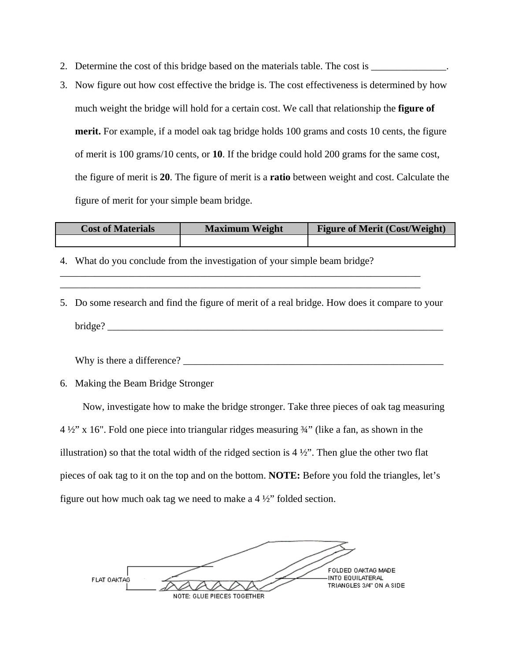- 2. Determine the cost of this bridge based on the materials table. The cost is
- 3. Now figure out how cost effective the bridge is. The cost effectiveness is determined by how much weight the bridge will hold for a certain cost. We call that relationship the **figure of merit.** For example, if a model oak tag bridge holds 100 grams and costs 10 cents, the figure of merit is 100 grams/10 cents, or **10**. If the bridge could hold 200 grams for the same cost, the figure of merit is **20**. The figure of merit is a **ratio** between weight and cost. Calculate the figure of merit for your simple beam bridge.

| <b>Cost of Materials</b> | <b>Maximum Weight</b> | <b>Figure of Merit (Cost/Weight)</b> |
|--------------------------|-----------------------|--------------------------------------|
|                          |                       |                                      |

- 4. What do you conclude from the investigation of your simple beam bridge?
- 5. Do some research and find the figure of merit of a real bridge. How does it compare to your bridge?

\_\_\_\_\_\_\_\_\_\_\_\_\_\_\_\_\_\_\_\_\_\_\_\_\_\_\_\_\_\_\_\_\_\_\_\_\_\_\_\_\_\_\_\_\_\_\_\_\_\_\_\_\_\_\_\_\_\_\_\_\_\_\_\_\_\_\_\_\_\_\_\_ \_\_\_\_\_\_\_\_\_\_\_\_\_\_\_\_\_\_\_\_\_\_\_\_\_\_\_\_\_\_\_\_\_\_\_\_\_\_\_\_\_\_\_\_\_\_\_\_\_\_\_\_\_\_\_\_\_\_\_\_\_\_\_\_\_\_\_\_\_\_\_\_

Why is there a difference? \_\_\_\_\_\_\_\_\_\_\_\_\_\_\_\_\_\_\_\_\_\_\_\_\_\_\_\_\_\_\_\_\_\_\_\_\_\_\_\_\_\_\_\_\_\_\_\_\_\_\_\_

6. Making the Beam Bridge Stronger

Now, investigate how to make the bridge stronger. Take three pieces of oak tag measuring 4 ½" x 16". Fold one piece into triangular ridges measuring ¾" (like a fan, as shown in the illustration) so that the total width of the ridged section is  $4\frac{1}{2}$ . Then glue the other two flat pieces of oak tag to it on the top and on the bottom. **NOTE:** Before you fold the triangles, let's figure out how much oak tag we need to make a 4 ½" folded section.

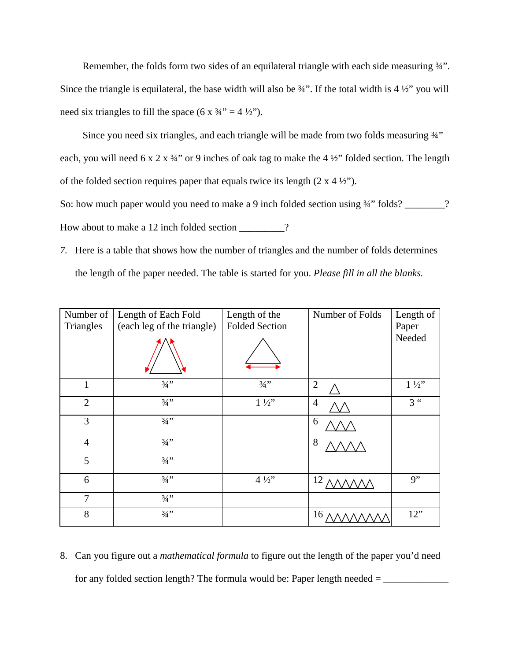Remember, the folds form two sides of an equilateral triangle with each side measuring 34". Since the triangle is equilateral, the base width will also be  $\frac{3}{4}$ . If the total width is  $4\frac{1}{2}$  you will need six triangles to fill the space  $(6 \times 34^{\prime\prime} = 4 \frac{1}{2})^{\prime\prime}$ .

Since you need six triangles, and each triangle will be made from two folds measuring  $\frac{3}{4}$ " each, you will need 6 x 2 x  $\frac{3}{4}$ " or 9 inches of oak tag to make the 4  $\frac{1}{2}$ " folded section. The length of the folded section requires paper that equals twice its length  $(2 \times 4 \frac{1}{2})$ .

So: how much paper would you need to make a 9 inch folded section using  $\frac{3}{4}$ " folds? \_\_\_\_\_\_? How about to make a 12 inch folded section \_\_\_\_\_\_\_\_\_?

*7.* Here is a table that shows how the number of triangles and the number of folds determines the length of the paper needed. The table is started for you. *Please fill in all the blanks.* 

| Number of<br>Triangles | Length of Each Fold<br>(each leg of the triangle) | Length of the<br><b>Folded Section</b> | Number of Folds | Length of<br>Paper |
|------------------------|---------------------------------------------------|----------------------------------------|-----------------|--------------------|
|                        |                                                   |                                        |                 | Needed             |
| 1                      | $3/4$ "                                           | $3/4$ "                                | $\overline{2}$  | $1\frac{1}{2}$     |
| $\overline{2}$         | $3/4$ "                                           | $1\frac{1}{2}$                         | $\overline{4}$  | $3$ "              |
| 3                      | $3/4$ "                                           |                                        | 6               |                    |
| $\overline{4}$         | $3/4$ "                                           |                                        | 8               |                    |
| 5                      | $3/4$ "                                           |                                        |                 |                    |
| 6                      | $3/4$ "                                           | $4\frac{1}{2}$                         | 12              | 9"                 |
| 7                      | $3/4$ "                                           |                                        |                 |                    |
| 8                      | $3/4$ "                                           |                                        | 16              | 12"                |

8. Can you figure out a *mathematical formula* to figure out the length of the paper you'd need for any folded section length? The formula would be: Paper length needed = \_\_\_\_\_\_\_\_\_\_\_\_\_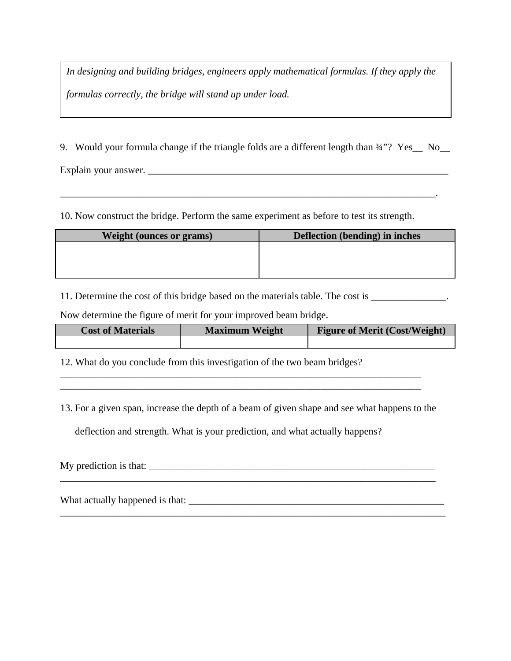*In designing and building bridges, engineers apply mathematical formulas. If they apply the formulas correctly, the bridge will stand up under load.*

9. Would your formula change if the triangle folds are a different length than  $\frac{3}{4}$ "? Yes\_ No\_

\_\_\_\_\_\_\_\_\_\_\_\_\_\_\_\_\_\_\_\_\_\_\_\_\_\_\_\_\_\_\_\_\_\_\_\_\_\_\_\_\_\_\_\_\_\_\_\_\_\_\_\_\_\_\_\_\_\_\_\_\_\_\_\_\_\_\_\_\_\_\_\_\_\_\_.

Explain your answer.

10. Now construct the bridge. Perform the same experiment as before to test its strength.

| <b>Weight (ounces or grams)</b> | <b>Deflection</b> (bending) in inches |
|---------------------------------|---------------------------------------|
|                                 |                                       |
|                                 |                                       |
|                                 |                                       |

11. Determine the cost of this bridge based on the materials table. The cost is \_\_\_\_\_\_\_\_\_\_\_\_\_.

Now determine the figure of merit for your improved beam bridge.

| <b>Cost of Materials</b> | <b>Maximum Weight</b> | <b>Figure of Merit (Cost/Weight)</b> |
|--------------------------|-----------------------|--------------------------------------|
|                          |                       |                                      |

12. What do you conclude from this investigation of the two beam bridges?

13. For a given span, increase the depth of a beam of given shape and see what happens to the

\_\_\_\_\_\_\_\_\_\_\_\_\_\_\_\_\_\_\_\_\_\_\_\_\_\_\_\_\_\_\_\_\_\_\_\_\_\_\_\_\_\_\_\_\_\_\_\_\_\_\_\_\_\_\_\_\_\_\_\_\_\_\_\_\_\_\_\_\_\_\_\_ \_\_\_\_\_\_\_\_\_\_\_\_\_\_\_\_\_\_\_\_\_\_\_\_\_\_\_\_\_\_\_\_\_\_\_\_\_\_\_\_\_\_\_\_\_\_\_\_\_\_\_\_\_\_\_\_\_\_\_\_\_\_\_\_\_\_\_\_\_\_\_\_

deflection and strength. What is your prediction, and what actually happens?

My prediction is that: \_\_\_\_\_\_\_\_\_\_\_\_\_\_\_\_\_\_\_\_\_\_\_\_\_\_\_\_\_\_\_\_\_\_\_\_\_\_\_\_\_\_\_\_\_\_\_\_\_\_\_\_\_\_\_\_\_\_\_\_\_\_\_\_\_\_\_\_\_\_\_\_\_\_\_

\_\_\_\_\_\_\_\_\_\_\_\_\_\_\_\_\_\_\_\_\_\_\_\_\_\_\_\_\_\_\_\_\_\_\_\_\_\_\_\_\_\_\_\_\_\_\_\_\_\_\_\_\_\_\_\_\_\_\_\_\_\_\_\_\_\_\_\_\_\_\_\_\_\_\_\_\_

What actually happened is that: \_\_\_\_\_\_\_\_\_\_\_\_\_\_\_\_\_\_\_\_\_\_\_\_\_\_\_\_\_\_\_\_\_\_\_\_\_\_\_\_\_\_\_\_\_\_\_\_\_\_\_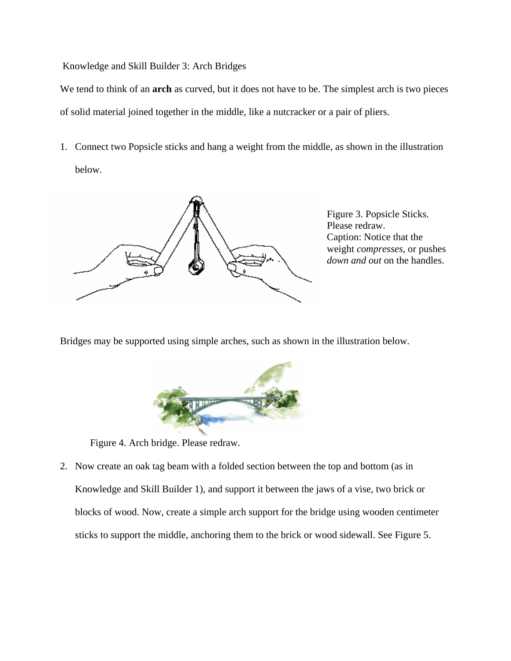Knowledge and Skill Builder 3: Arch Bridges

We tend to think of an **arch** as curved, but it does not have to be. The simplest arch is two pieces of solid material joined together in the middle, like a nutcracker or a pair of pliers.

1. Connect two Popsicle sticks and hang a weight from the middle, as shown in the illustration below.



Figure 3. Popsicle Sticks. Please redraw. Caption: Notice that the weight *compresses*, or pushes *down and out* on the handles.

Bridges may be supported using simple arches, such as shown in the illustration below.



Figure 4. Arch bridge. Please redraw.

2. Now create an oak tag beam with a folded section between the top and bottom (as in Knowledge and Skill Builder 1), and support it between the jaws of a vise, two brick or blocks of wood. Now, create a simple arch support for the bridge using wooden centimeter sticks to support the middle, anchoring them to the brick or wood sidewall. See Figure 5.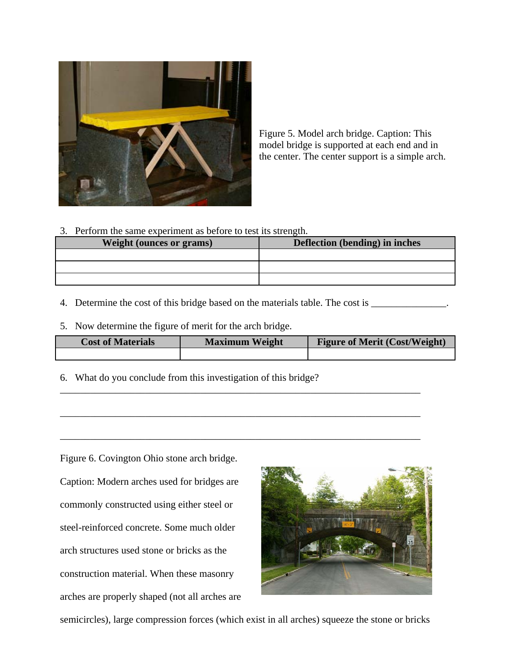

Figure 5. Model arch bridge. Caption: This model bridge is supported at each end and in the center. The center support is a simple arch.

3. Perform the same experiment as before to test its strength.

| <b>Weight (ounces or grams)</b> | <b>Deflection (bending) in inches</b> |
|---------------------------------|---------------------------------------|
|                                 |                                       |
|                                 |                                       |
|                                 |                                       |

- 4. Determine the cost of this bridge based on the materials table. The cost is \_\_\_\_\_\_\_\_\_\_\_\_\_\_.
- 5. Now determine the figure of merit for the arch bridge.

| <b>Cost of Materials</b> | <b>Maximum Weight</b> | <b>Figure of Merit (Cost/Weight)</b> |
|--------------------------|-----------------------|--------------------------------------|
|                          |                       |                                      |

\_\_\_\_\_\_\_\_\_\_\_\_\_\_\_\_\_\_\_\_\_\_\_\_\_\_\_\_\_\_\_\_\_\_\_\_\_\_\_\_\_\_\_\_\_\_\_\_\_\_\_\_\_\_\_\_\_\_\_\_\_\_\_\_\_\_\_\_\_\_\_\_

\_\_\_\_\_\_\_\_\_\_\_\_\_\_\_\_\_\_\_\_\_\_\_\_\_\_\_\_\_\_\_\_\_\_\_\_\_\_\_\_\_\_\_\_\_\_\_\_\_\_\_\_\_\_\_\_\_\_\_\_\_\_\_\_\_\_\_\_\_\_\_\_

\_\_\_\_\_\_\_\_\_\_\_\_\_\_\_\_\_\_\_\_\_\_\_\_\_\_\_\_\_\_\_\_\_\_\_\_\_\_\_\_\_\_\_\_\_\_\_\_\_\_\_\_\_\_\_\_\_\_\_\_\_\_\_\_\_\_\_\_\_\_\_\_

6. What do you conclude from this investigation of this bridge?

Figure 6. Covington Ohio stone arch bridge. Caption: Modern arches used for bridges are commonly constructed using either steel or steel-reinforced concrete. Some much older arch structures used stone or bricks as the construction material. When these masonry arches are properly shaped (not all arches are



semicircles), large compression forces (which exist in all arches) squeeze the stone or bricks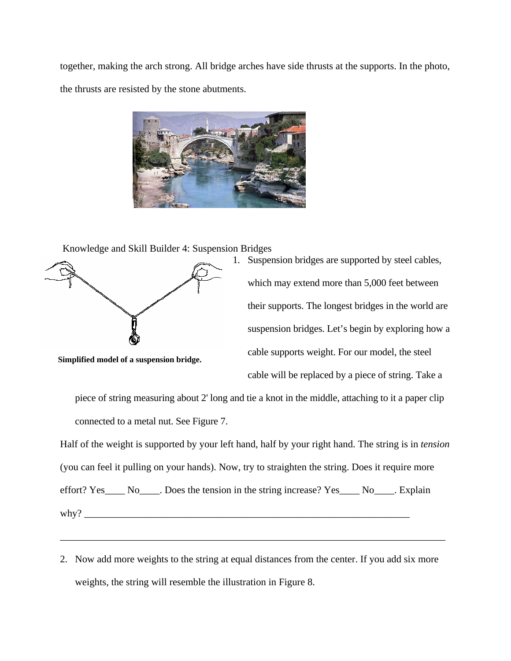together, making the arch strong. All bridge arches have side thrusts at the supports. In the photo, the thrusts are resisted by the stone abutments.



Knowledge and Skill Builder 4: Suspension Bridges



1. Suspension bridges are supported by steel cables, which may extend more than 5,000 feet between their supports. The longest bridges in the world are suspension bridges. Let's begin by exploring how a cable supports weight. For our model, the steel cable will be replaced by a piece of string. Take a

piece of string measuring about 2' long and tie a knot in the middle, attaching to it a paper clip connected to a metal nut. See Figure 7.

Half of the weight is supported by your left hand, half by your right hand. The string is in *tension* (you can feel it pulling on your hands). Now, try to straighten the string. Does it require more effort? Yes\_\_\_\_ No\_\_\_\_. Does the tension in the string increase? Yes\_\_\_\_ No\_\_\_\_. Explain why? \_\_\_\_\_\_\_\_\_\_\_\_\_\_\_\_\_\_\_\_\_\_\_\_\_\_\_\_\_\_\_\_\_\_\_\_\_\_\_\_\_\_\_\_\_\_\_\_\_\_\_\_\_\_\_\_\_\_\_\_\_\_\_\_\_

2. Now add more weights to the string at equal distances from the center. If you add six more weights, the string will resemble the illustration in Figure 8.

\_\_\_\_\_\_\_\_\_\_\_\_\_\_\_\_\_\_\_\_\_\_\_\_\_\_\_\_\_\_\_\_\_\_\_\_\_\_\_\_\_\_\_\_\_\_\_\_\_\_\_\_\_\_\_\_\_\_\_\_\_\_\_\_\_\_\_\_\_\_\_\_\_\_\_\_\_

 **Simplified model of a suspension bridge.**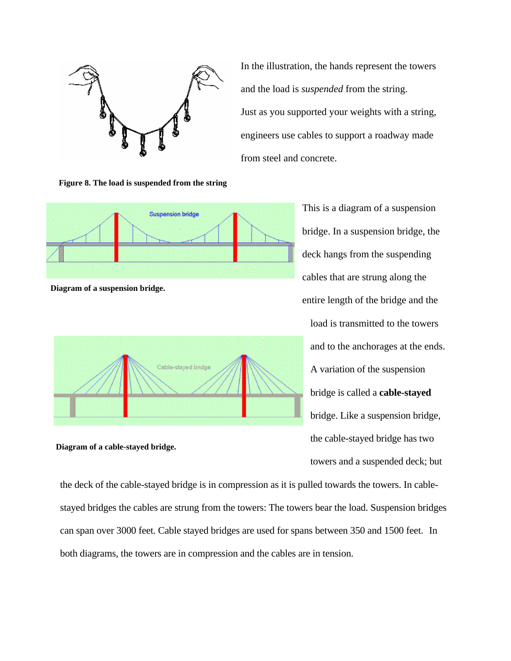

In the illustration, the hands represent the towers and the load is *suspended* from the string. Just as you supported your weights with a string, engineers use cables to support a roadway made from steel and concrete.

**Figure 8. The load is suspended from the string**



 **Diagram of a suspension bridge.** 



 **Diagram of a cable-stayed bridge.** 

This is a diagram of a suspension bridge. In a suspension bridge, the deck hangs from the suspending cables that are strung along the entire length of the bridge and the load is transmitted to the towers and to the anchorages at the ends. A variation of the suspension bridge is called a **cable-stayed**  bridge. Like a suspension bridge, the cable-stayed bridge has two towers and a suspended deck; but

the deck of the cable-stayed bridge is in compression as it is pulled towards the towers. In cablestayed bridges the cables are strung from the towers: The towers bear the load. Suspension bridges can span over 3000 feet. Cable stayed bridges are used for spans between 350 and 1500 feet. In both diagrams, the towers are in compression and the cables are in tension.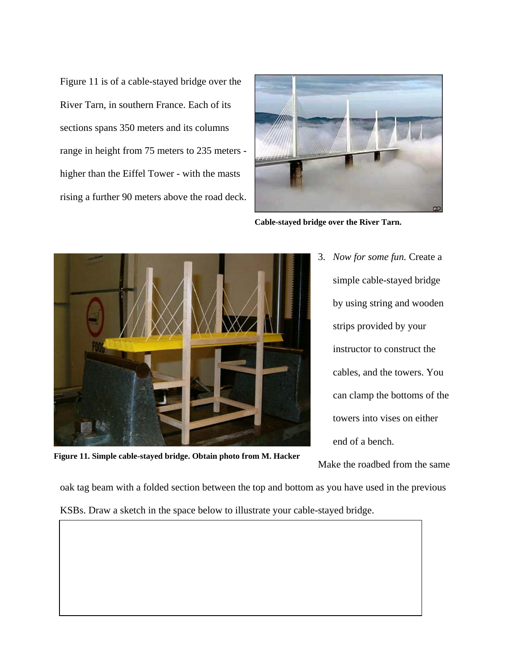Figure 11 is of a cable-stayed bridge over the River Tarn, in southern France. Each of its sections spans 350 meters and its columns range in height from 75 meters to 235 meters higher than the Eiffel Tower - with the masts rising a further 90 meters above the road deck.



**Cable-stayed bridge over the River Tarn.** 



3. *Now for some fun.* Create a simple cable-stayed bridge by using string and wooden strips provided by your instructor to construct the cables, and the towers. You can clamp the bottoms of the towers into vises on either end of a bench.

**Figure 11. Simple cable-stayed bridge. Obtain photo from M. Hacker**

Make the roadbed from the same

oak tag beam with a folded section between the top and bottom as you have used in the previous KSBs. Draw a sketch in the space below to illustrate your cable-stayed bridge.

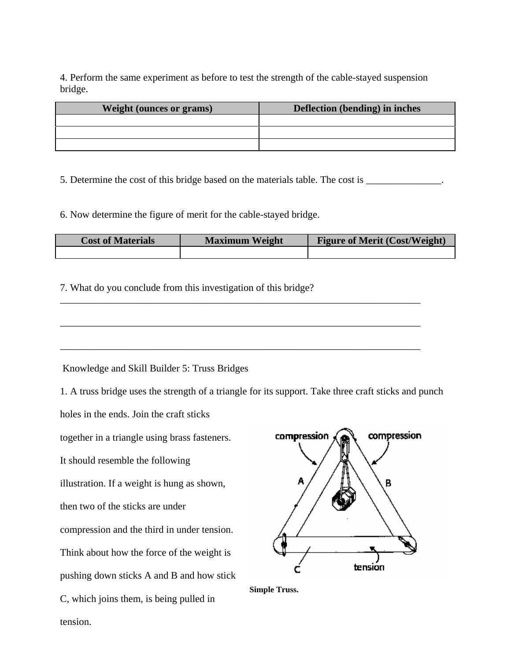4. Perform the same experiment as before to test the strength of the cable-stayed suspension bridge.

| <b>Weight (ounces or grams)</b> | <b>Deflection (bending) in inches</b> |
|---------------------------------|---------------------------------------|
|                                 |                                       |
|                                 |                                       |
|                                 |                                       |

5. Determine the cost of this bridge based on the materials table. The cost is \_\_\_\_\_\_\_\_\_\_\_\_\_\_\_.

6. Now determine the figure of merit for the cable-stayed bridge.

| <b>Cost of Materials</b> | <b>Maximum Weight</b> | <b>Figure of Merit (Cost/Weight)</b> |
|--------------------------|-----------------------|--------------------------------------|
|                          |                       |                                      |

7. What do you conclude from this investigation of this bridge?



\_\_\_\_\_\_\_\_\_\_\_\_\_\_\_\_\_\_\_\_\_\_\_\_\_\_\_\_\_\_\_\_\_\_\_\_\_\_\_\_\_\_\_\_\_\_\_\_\_\_\_\_\_\_\_\_\_\_\_\_\_\_\_\_\_\_\_\_\_\_\_\_

Knowledge and Skill Builder 5: Truss Bridges

1. A truss bridge uses the strength of a triangle for its support. Take three craft sticks and punch

holes in the ends. Join the craft sticks

together in a triangle using brass fasteners.

It should resemble the following

illustration. If a weight is hung as shown,

then two of the sticks are under

compression and the third in under tension.

Think about how the force of the weight is

pushing down sticks A and B and how stick

C, which joins them, is being pulled in

tension.



 **Simple Truss.**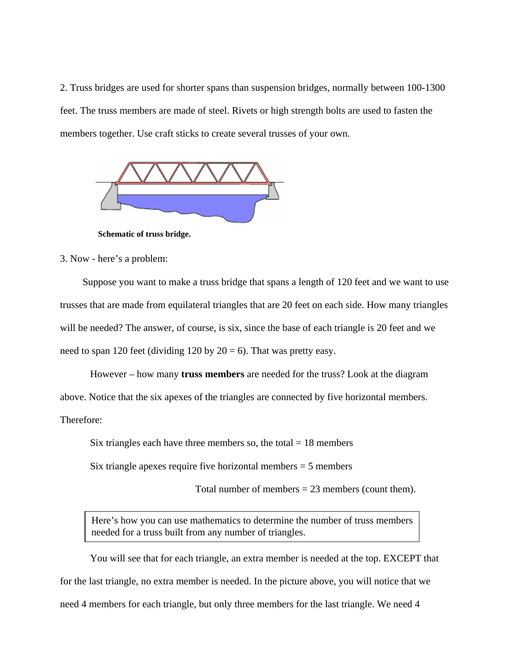2. Truss bridges are used for shorter spans than suspension bridges, normally between 100-1300 feet. The truss members are made of steel. Rivets or high strength bolts are used to fasten the members together. Use craft sticks to create several trusses of your own.



 **Schematic of truss bridge.** 

3. Now - here's a problem:

Suppose you want to make a truss bridge that spans a length of 120 feet and we want to use trusses that are made from equilateral triangles that are 20 feet on each side. How many triangles will be needed? The answer, of course, is six, since the base of each triangle is 20 feet and we need to span 120 feet (dividing 120 by  $20 = 6$ ). That was pretty easy.

However – how many **truss members** are needed for the truss? Look at the diagram above. Notice that the six apexes of the triangles are connected by five horizontal members. Therefore:

Six triangles each have three members so, the total  $= 18$  members

Six triangle apexes require five horizontal members  $= 5$  members

Total number of members  $= 23$  members (count them).

 Here's how you can use mathematics to determine the number of truss members needed for a truss built from any number of triangles.

You will see that for each triangle, an extra member is needed at the top. EXCEPT that for the last triangle, no extra member is needed. In the picture above, you will notice that we need 4 members for each triangle, but only three members for the last triangle. We need 4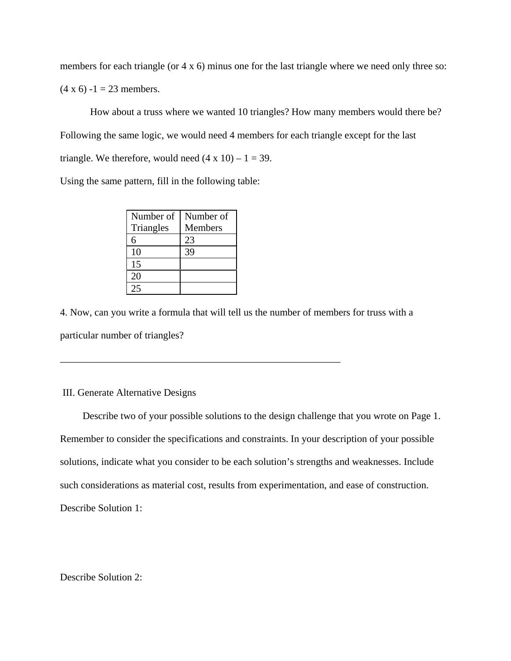members for each triangle (or 4 x 6) minus one for the last triangle where we need only three so:  $(4 \times 6) - 1 = 23$  members.

How about a truss where we wanted 10 triangles? How many members would there be? Following the same logic, we would need 4 members for each triangle except for the last triangle. We therefore, would need  $(4 \times 10) - 1 = 39$ .

Using the same pattern, fill in the following table:

| Number of | Number of      |
|-----------|----------------|
| Triangles | <b>Members</b> |
| 6         | 23             |
| 10        | 39             |
| 15        |                |
| 20        |                |
|           |                |

\_\_\_\_\_\_\_\_\_\_\_\_\_\_\_\_\_\_\_\_\_\_\_\_\_\_\_\_\_\_\_\_\_\_\_\_\_\_\_\_\_\_\_\_\_\_\_\_\_\_\_\_\_\_\_\_

4. Now, can you write a formula that will tell us the number of members for truss with a particular number of triangles?

## III. Generate Alternative Designs

Describe two of your possible solutions to the design challenge that you wrote on Page 1. Remember to consider the specifications and constraints. In your description of your possible solutions, indicate what you consider to be each solution's strengths and weaknesses. Include such considerations as material cost, results from experimentation, and ease of construction. Describe Solution 1:

Describe Solution 2: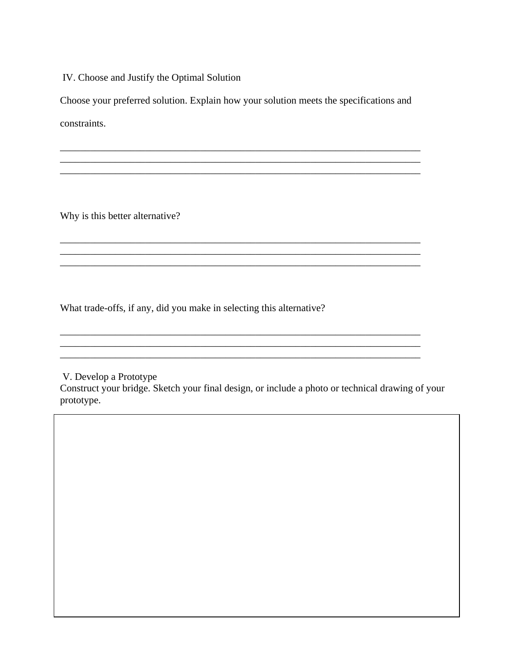IV. Choose and Justify the Optimal Solution

Choose your preferred solution. Explain how your solution meets the specifications and constraints.

\_\_\_\_\_\_\_\_\_\_\_\_\_\_\_\_\_\_\_\_\_\_\_\_\_\_\_\_\_\_\_\_\_\_\_\_\_\_\_\_\_\_\_\_\_\_\_\_\_\_\_\_\_\_\_\_\_\_\_\_\_\_\_\_\_\_\_\_\_\_\_\_

\_\_\_\_\_\_\_\_\_\_\_\_\_\_\_\_\_\_\_\_\_\_\_\_\_\_\_\_\_\_\_\_\_\_\_\_\_\_\_\_\_\_\_\_\_\_\_\_\_\_\_\_\_\_\_\_\_\_\_\_\_\_\_\_\_\_\_\_\_\_\_\_

\_\_\_\_\_\_\_\_\_\_\_\_\_\_\_\_\_\_\_\_\_\_\_\_\_\_\_\_\_\_\_\_\_\_\_\_\_\_\_\_\_\_\_\_\_\_\_\_\_\_\_\_\_\_\_\_\_\_\_\_\_\_\_\_\_\_\_\_\_\_\_\_

\_\_\_\_\_\_\_\_\_\_\_\_\_\_\_\_\_\_\_\_\_\_\_\_\_\_\_\_\_\_\_\_\_\_\_\_\_\_\_\_\_\_\_\_\_\_\_\_\_\_\_\_\_\_\_\_\_\_\_\_\_\_\_\_\_\_\_\_\_\_\_\_

\_\_\_\_\_\_\_\_\_\_\_\_\_\_\_\_\_\_\_\_\_\_\_\_\_\_\_\_\_\_\_\_\_\_\_\_\_\_\_\_\_\_\_\_\_\_\_\_\_\_\_\_\_\_\_\_\_\_\_\_\_\_\_\_\_\_\_\_\_\_\_\_  $\mathcal{L}_\mathcal{L} = \{ \mathcal{L}_\mathcal{L} = \{ \mathcal{L}_\mathcal{L} = \{ \mathcal{L}_\mathcal{L} = \{ \mathcal{L}_\mathcal{L} = \{ \mathcal{L}_\mathcal{L} = \{ \mathcal{L}_\mathcal{L} = \{ \mathcal{L}_\mathcal{L} = \{ \mathcal{L}_\mathcal{L} = \{ \mathcal{L}_\mathcal{L} = \{ \mathcal{L}_\mathcal{L} = \{ \mathcal{L}_\mathcal{L} = \{ \mathcal{L}_\mathcal{L} = \{ \mathcal{L}_\mathcal{L} = \{ \mathcal{L}_\mathcal{$ 

\_\_\_\_\_\_\_\_\_\_\_\_\_\_\_\_\_\_\_\_\_\_\_\_\_\_\_\_\_\_\_\_\_\_\_\_\_\_\_\_\_\_\_\_\_\_\_\_\_\_\_\_\_\_\_\_\_\_\_\_\_\_\_\_\_\_\_\_\_\_\_\_

Why is this better alternative?

What trade-offs, if any, did you make in selecting this alternative?

V. Develop a Prototype

Construct your bridge. Sketch your final design, or include a photo or technical drawing of your prototype.